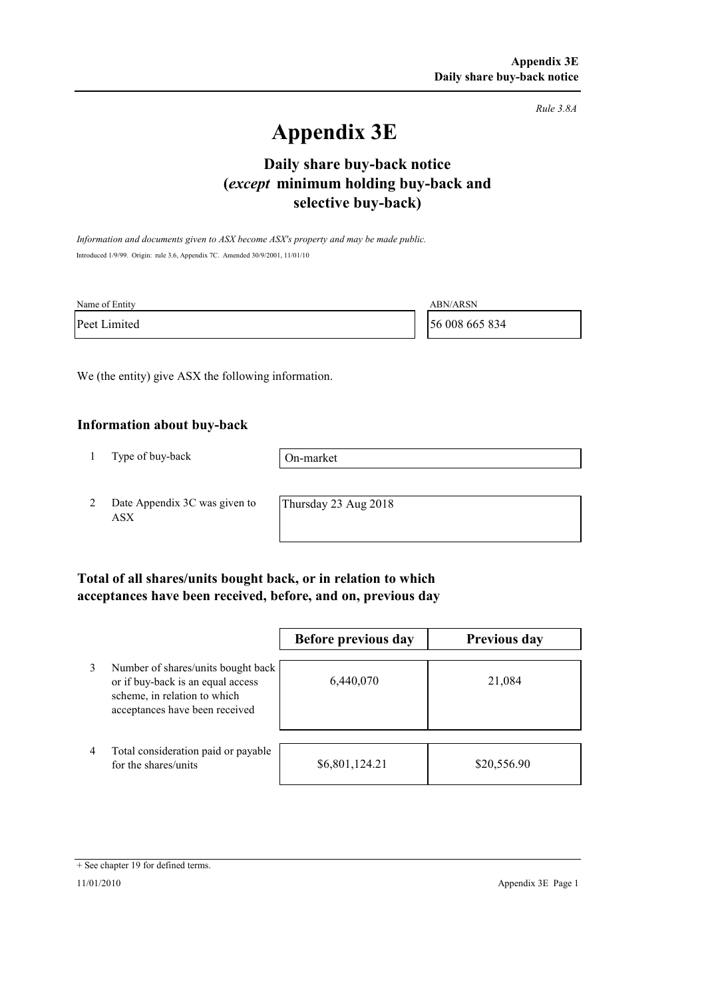*Rule 3.8A*

# **Appendix 3E**

# **selective buy-back) Daily share buy-back notice (***except* **minimum holding buy-back and**

*Information and documents given to ASX become ASX's property and may be made public.* Introduced 1/9/99. Origin: rule 3.6, Appendix 7C. Amended 30/9/2001, 11/01/10

| Name of Entity | <b>ABN/ARSN</b> |
|----------------|-----------------|
| Peet Limited   | 56 008 665 834  |

We (the entity) give ASX the following information.

#### **Information about buy-back**

1 Type of buy-back

On-market

2 Date Appendix 3C was given to ASX

Thursday 23 Aug 2018

### **Total of all shares/units bought back, or in relation to which acceptances have been received, before, and on, previous day**

|                |                                                                                                                                           | Before previous day | <b>Previous day</b> |
|----------------|-------------------------------------------------------------------------------------------------------------------------------------------|---------------------|---------------------|
| 3              | Number of shares/units bought back<br>or if buy-back is an equal access<br>scheme, in relation to which<br>acceptances have been received | 6,440,070           | 21,084              |
| $\overline{4}$ | Total consideration paid or payable<br>for the shares/units                                                                               | \$6,801,124.21      | \$20,556.90         |

<sup>+</sup> See chapter 19 for defined terms.